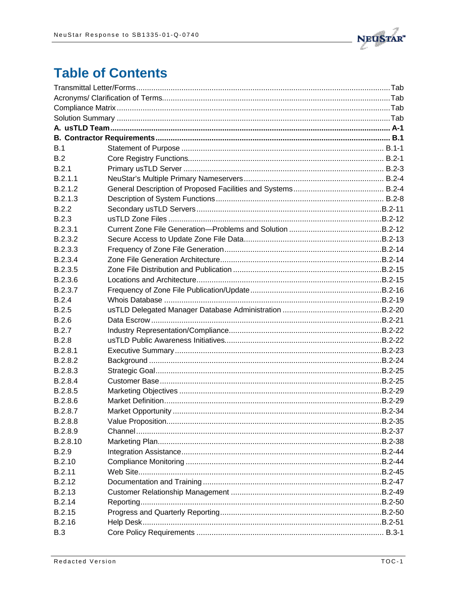

## **Table of Contents**

| B.1           |  |  |
|---------------|--|--|
| B.2           |  |  |
| B.2.1         |  |  |
| B.2.1.1       |  |  |
| B.2.1.2       |  |  |
| B.2.1.3       |  |  |
| B.2.2         |  |  |
| <b>B.2.3</b>  |  |  |
| B.2.3.1       |  |  |
| B.2.3.2       |  |  |
| B.2.3.3       |  |  |
| B.2.3.4       |  |  |
| B.2.3.5       |  |  |
| B.2.3.6       |  |  |
| B.2.3.7       |  |  |
| B.2.4         |  |  |
| B.2.5         |  |  |
| B.2.6         |  |  |
| B.2.7         |  |  |
| <b>B.2.8</b>  |  |  |
| B.2.8.1       |  |  |
| B.2.8.2       |  |  |
| B.2.8.3       |  |  |
| B.2.8.4       |  |  |
| B.2.8.5       |  |  |
| B.2.8.6       |  |  |
| B.2.8.7       |  |  |
| B.2.8.8       |  |  |
| B.2.8.9       |  |  |
| B.2.8.10      |  |  |
| <b>B.2.9</b>  |  |  |
| B.2.10        |  |  |
| B.2.11        |  |  |
| B.2.12        |  |  |
| B.2.13        |  |  |
| B.2.14        |  |  |
| <b>B.2.15</b> |  |  |
| B.2.16        |  |  |
| <b>B.3</b>    |  |  |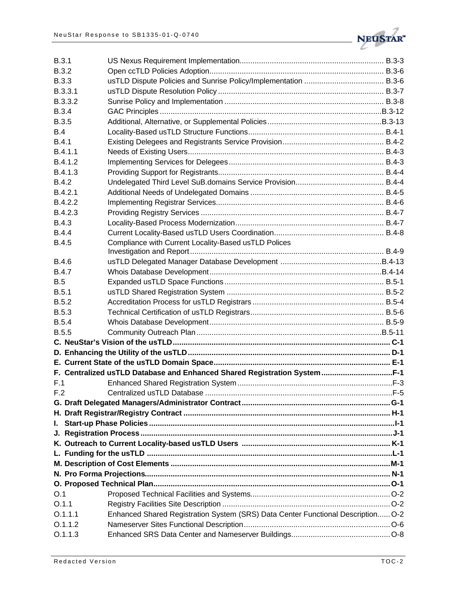

| B.3.1        |                                                                                  |  |
|--------------|----------------------------------------------------------------------------------|--|
| <b>B.3.2</b> |                                                                                  |  |
| <b>B.3.3</b> |                                                                                  |  |
| B.3.3.1      |                                                                                  |  |
| B.3.3.2      |                                                                                  |  |
| <b>B.3.4</b> |                                                                                  |  |
| <b>B.3.5</b> |                                                                                  |  |
| B.4          |                                                                                  |  |
| <b>B.4.1</b> |                                                                                  |  |
| B.4.1.1      |                                                                                  |  |
| B.4.1.2      |                                                                                  |  |
| B.4.1.3      |                                                                                  |  |
| <b>B.4.2</b> |                                                                                  |  |
| B.4.2.1      |                                                                                  |  |
| B.4.2.2      |                                                                                  |  |
| B.4.2.3      |                                                                                  |  |
| <b>B.4.3</b> |                                                                                  |  |
| <b>B.4.4</b> |                                                                                  |  |
| <b>B.4.5</b> | Compliance with Current Locality-Based usTLD Polices                             |  |
|              |                                                                                  |  |
| <b>B.4.6</b> |                                                                                  |  |
| <b>B.4.7</b> |                                                                                  |  |
| B.5          |                                                                                  |  |
| B.5.1        |                                                                                  |  |
| <b>B.5.2</b> |                                                                                  |  |
| <b>B.5.3</b> |                                                                                  |  |
| <b>B.5.4</b> |                                                                                  |  |
| <b>B.5.5</b> |                                                                                  |  |
|              |                                                                                  |  |
|              |                                                                                  |  |
|              |                                                                                  |  |
|              | F. Centralized usTLD Database and Enhanced Shared Registration SystemF-1         |  |
| F.1          |                                                                                  |  |
| F.2          |                                                                                  |  |
|              |                                                                                  |  |
|              |                                                                                  |  |
|              |                                                                                  |  |
|              |                                                                                  |  |
|              |                                                                                  |  |
|              |                                                                                  |  |
|              |                                                                                  |  |
|              |                                                                                  |  |
|              |                                                                                  |  |
| O.1          |                                                                                  |  |
| O.1.1        |                                                                                  |  |
| 0.1.1.1      | Enhanced Shared Registration System (SRS) Data Center Functional Description O-2 |  |
| 0.1.1.2      |                                                                                  |  |
| 0.1.1.3      |                                                                                  |  |
|              |                                                                                  |  |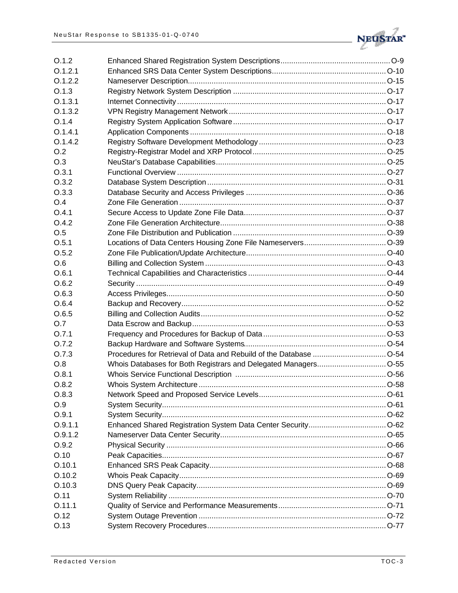

| O.1.2   |  |
|---------|--|
| O.1.2.1 |  |
| O.1.2.2 |  |
| O.1.3   |  |
| O.1.3.1 |  |
| O.1.3.2 |  |
| O.1.4   |  |
| 0.1.4.1 |  |
| O.1.4.2 |  |
| O.2     |  |
| O.3     |  |
| O.3.1   |  |
| O.3.2   |  |
| O.3.3   |  |
| O.4     |  |
| O.4.1   |  |
| O.4.2   |  |
| O.5     |  |
| O.5.1   |  |
| O.5.2   |  |
| O.6     |  |
| O.6.1   |  |
| O.6.2   |  |
| O.6.3   |  |
| O.6.4   |  |
| O.6.5   |  |
| O.7     |  |
| O.7.1   |  |
| O.7.2   |  |
| O.7.3   |  |
| O.8     |  |
| O.8.1   |  |
| O.8.2   |  |
| O.8.3   |  |
| O.9     |  |
| O.9.1   |  |
| O.9.1.1 |  |
| O.9.1.2 |  |
| O.9.2   |  |
| O.10    |  |
| O.10.1  |  |
| O.10.2  |  |
| O.10.3  |  |
| O.11    |  |
| 0.11.1  |  |
| O.12    |  |
| O.13    |  |